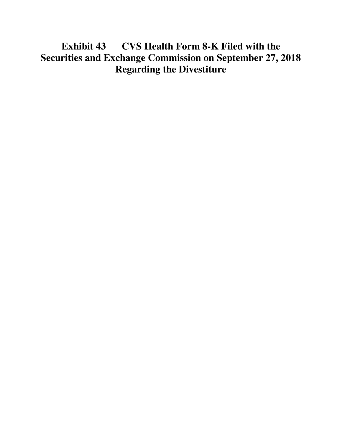## **Exhibit 43 CVS Health Form 8-K Filed with the Securities and Exchange Commission on September 27, 2018 Regarding the Divestiture**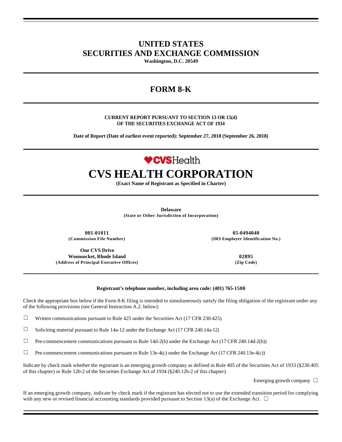### **UNITED STATES SECURITIES AND EXCHANGE COMMISSION**

**Washington, D.C. 20549**

## **FORM 8-K**

#### **CURRENT REPORT PURSUANT TO SECTION 13 OR 15(d) OF THE SECURITIES EXCHANGE ACT OF 1934**

**Date of Report (Date of earliest event reported): September 27, 2018 (September 26, 2018)**

# **VCVSHealth CVS HEALTH CORPORATION**

**(Exact Name of Registrant as Specified in Charter)**

**Delaware (State or Other Jurisdiction of Incorporation)**

**001-01011 05-0494040**

**One CVS Drive Woonsocket, Rhode Island 02895 (Address of Principal Executive Offices) (Zip Code)**

**(Commission File Number) (IRS Employer Identification No.)**

#### **Registrant's telephone number, including area code: (401) 765-1500**

Check the appropriate box below if the Form 8-K filing is intended to simultaneously satisfy the filing obligation of the registrant under any of the following provisions (see General Instruction A.2. below):

- $\Box$  Written communications pursuant to Rule 425 under the Securities Act (17 CFR 230.425)
- $\Box$  Soliciting material pursuant to Rule 14a-12 under the Exchange Act (17 CFR 240.14a-12)
- $\Box$  Pre-commencement communications pursuant to Rule 14d-2(b) under the Exchange Act (17 CFR 240.14d-2(b))
- $\Box$  Pre-commencement communications pursuant to Rule 13e-4(c) under the Exchange Act (17 CFR 240.13e-4(c))

Indicate by check mark whether the registrant is an emerging growth company as defined in Rule 405 of the Securities Act of 1933 (§230.405 of this chapter) or Rule 12b-2 of the Securities Exchange Act of 1934 (§240.12b-2 of this chapter).

Emerging growth company  $\Box$ 

If an emerging growth company, indicate by check mark if the registrant has elected not to use the extended transition period for complying with any new or revised financial accounting standards provided pursuant to Section 13(a) of the Exchange Act.  $\Box$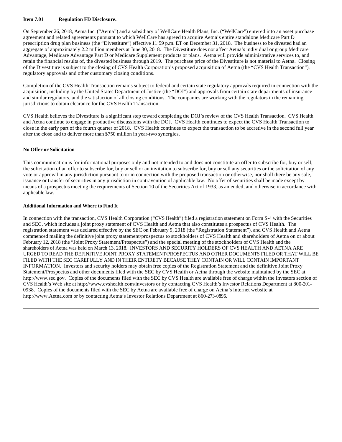#### **Item 7.01 Regulation FD Disclosure.**

On September 26, 2018, Aetna Inc. ("Aetna") and a subsidiary of WellCare Health Plans, Inc. ("WellCare") entered into an asset purchase agreement and related agreements pursuant to which WellCare has agreed to acquire Aetna's entire standalone Medicare Part D prescription drug plan business (the "Divestiture") effective 11:59 p.m. ET on December 31, 2018. The business to be divested had an aggregate of approximately 2.2 million members at June 30, 2018. The Divestiture does not affect Aetna's individual or group Medicare Advantage, Medicare Advantage Part D or Medicare Supplement products or plans. Aetna will provide administrative services to, and retain the financial results of, the divested business through 2019. The purchase price of the Divestiture is not material to Aetna. Closing of the Divestiture is subject to the closing of CVS Health Corporation's proposed acquisition of Aetna (the "CVS Health Transaction"), regulatory approvals and other customary closing conditions.

Completion of the CVS Health Transaction remains subject to federal and certain state regulatory approvals required in connection with the acquisition, including by the United States Department of Justice (the "DOJ") and approvals from certain state departments of insurance and similar regulators, and the satisfaction of all closing conditions. The companies are working with the regulators in the remaining jurisdictions to obtain clearance for the CVS Health Transaction.

CVS Health believes the Divestiture is a significant step toward completing the DOJ's review of the CVS Health Transaction. CVS Health and Aetna continue to engage in productive discussions with the DOJ. CVS Health continues to expect the CVS Health Transaction to close in the early part of the fourth quarter of 2018. CVS Health continues to expect the transaction to be accretive in the second full year after the close and to deliver more than \$750 million in year-two synergies.

#### **No Offer or Solicitation**

This communication is for informational purposes only and not intended to and does not constitute an offer to subscribe for, buy or sell, the solicitation of an offer to subscribe for, buy or sell or an invitation to subscribe for, buy or sell any securities or the solicitation of any vote or approval in any jurisdiction pursuant to or in connection with the proposed transaction or otherwise, nor shall there be any sale, issuance or transfer of securities in any jurisdiction in contravention of applicable law. No offer of securities shall be made except by means of a prospectus meeting the requirements of Section 10 of the Securities Act of 1933, as amended, and otherwise in accordance with applicable law.

#### **Additional Information and Where to Find It**

In connection with the transaction, CVS Health Corporation ("CVS Health") filed a registration statement on Form S-4 with the Securities and SEC, which includes a joint proxy statement of CVS Health and Aetna that also constitutes a prospectus of CVS Health. The registration statement was declared effective by the SEC on February 9, 2018 (the "Registration Statement"), and CVS Health and Aetna commenced mailing the definitive joint proxy statement/prospectus to stockholders of CVS Health and shareholders of Aetna on or about February 12, 2018 (the "Joint Proxy Statement/Prospectus") and the special meeting of the stockholders of CVS Health and the shareholders of Aetna was held on March 13, 2018. INVESTORS AND SECURITY HOLDERS OF CVS HEALTH AND AETNA ARE URGED TO READ THE DEFINITIVE JOINT PROXY STATEMENT/PROSPECTUS AND OTHER DOCUMENTS FILED OR THAT WILL BE FILED WITH THE SEC CAREFULLY AND IN THEIR ENTIRETY BECAUSE THEY CONTAIN OR WILL CONTAIN IMPORTANT INFORMATION. Investors and security holders may obtain free copies of the Registration Statement and the definitive Joint Proxy Statement/Prospectus and other documents filed with the SEC by CVS Health or Aetna through the website maintained by the SEC at http://www.sec.gov. Copies of the documents filed with the SEC by CVS Health are available free of charge within the Investors section of CVS Health's Web site at http://www.cvshealth.com/investors or by contacting CVS Health's Investor Relations Department at 800-201- 0938. Copies of the documents filed with the SEC by Aetna are available free of charge on Aetna's internet website at http://www.Aetna.com or by contacting Aetna's Investor Relations Department at 860-273-0896.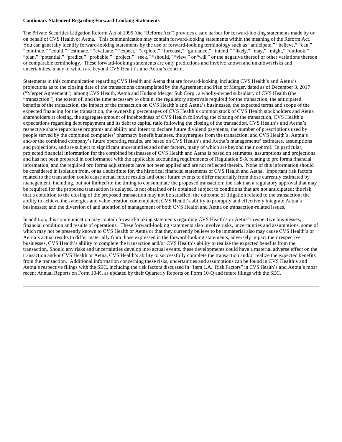#### **Cautionary Statement Regarding Forward-Looking Statements**

The Private Securities Litigation Reform Act of 1995 (the "Reform Act") provides a safe harbor for forward-looking statements made by or on behalf of CVS Health or Aetna. This communication may contain forward-looking statements within the meaning of the Reform Act. You can generally identify forward-looking statements by the use of forward-looking terminology such as "anticipate," "believe," "can," "continue," "could," "estimate," "evaluate," "expect," "explore," "forecast," "guidance," "intend," "likely," "may," "might," "outlook," "plan," "potential," "predict," "probable," "project," "seek," "should," "view," or "will," or the negative thereof or other variations thereon or comparable terminology. These forward-looking statements are only predictions and involve known and unknown risks and uncertainties, many of which are beyond CVS Health's and Aetna's control.

Statements in this communication regarding CVS Health and Aetna that are forward-looking, including CVS Health's and Aetna's projections as to the closing date of the transactions contemplated by the Agreement and Plan of Merger, dated as of December 3, 2017 ("Merger Agreement"), among CVS Health, Aetna and Hudson Merger Sub Corp., a wholly-owned subsidiary of CVS Health (the "transaction"), the extent of, and the time necessary to obtain, the regulatory approvals required for the transaction, the anticipated benefits of the transaction, the impact of the transaction on CVS Health's and Aetna's businesses, the expected terms and scope of the expected financing for the transaction, the ownership percentages of CVS Health's common stock of CVS Health stockholders and Aetna shareholders at closing, the aggregate amount of indebtedness of CVS Health following the closing of the transaction, CVS Health's expectations regarding debt repayment and its debt to capital ratio following the closing of the transaction, CVS Health's and Aetna's respective share repurchase programs and ability and intent to declare future dividend payments, the number of prescriptions used by people served by the combined companies' pharmacy benefit business, the synergies from the transaction, and CVS Health's, Aetna's and/or the combined company's future operating results, are based on CVS Health's and Aetna's managements' estimates, assumptions and projections, and are subject to significant uncertainties and other factors, many of which are beyond their control. In particular, projected financial information for the combined businesses of CVS Health and Aetna is based on estimates, assumptions and projections and has not been prepared in conformance with the applicable accounting requirements of Regulation S-X relating to pro forma financial information, and the required pro forma adjustments have not been applied and are not reflected therein. None of this information should be considered in isolation from, or as a substitute for, the historical financial statements of CVS Health and Aetna. Important risk factors related to the transaction could cause actual future results and other future events to differ materially from those currently estimated by management, including, but not limited to: the timing to consummate the proposed transaction; the risk that a regulatory approval that may be required for the proposed transaction is delayed, is not obtained or is obtained subject to conditions that are not anticipated; the risk that a condition to the closing of the proposed transaction may not be satisfied; the outcome of litigation related to the transaction; the ability to achieve the synergies and value creation contemplated; CVS Health's ability to promptly and effectively integrate Aetna's businesses; and the diversion of and attention of management of both CVS Health and Aetna on transaction-related issues.

In addition, this communication may contain forward-looking statements regarding CVS Health's or Aetna's respective businesses, financial condition and results of operations. These forward-looking statements also involve risks, uncertainties and assumptions, some of which may not be presently known to CVS Health or Aetna or that they currently believe to be immaterial also may cause CVS Health's or Aetna's actual results to differ materially from those expressed in the forward-looking statements, adversely impact their respective businesses, CVS Health's ability to complete the transaction and/or CVS Health's ability to realize the expected benefits from the transaction. Should any risks and uncertainties develop into actual events, these developments could have a material adverse effect on the transaction and/or CVS Health or Aetna, CVS Health's ability to successfully complete the transaction and/or realize the expected benefits from the transaction. Additional information concerning these risks, uncertainties and assumptions can be found in CVS Health's and Aetna's respective filings with the SEC, including the risk factors discussed in "Item 1.A. Risk Factors" in CVS Health's and Aetna's most recent Annual Reports on Form 10-K, as updated by their Quarterly Reports on Form 10-Q and future filings with the SEC.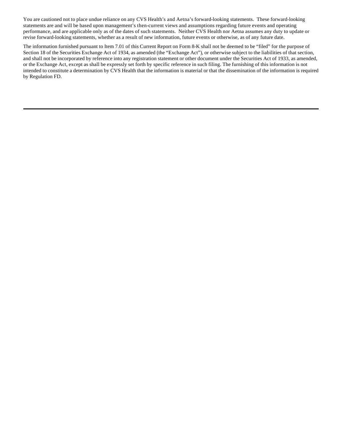You are cautioned not to place undue reliance on any CVS Health's and Aetna's forward-looking statements. These forward-looking statements are and will be based upon management's then-current views and assumptions regarding future events and operating performance, and are applicable only as of the dates of such statements. Neither CVS Health nor Aetna assumes any duty to update or revise forward-looking statements, whether as a result of new information, future events or otherwise, as of any future date.

The information furnished pursuant to Item 7.01 of this Current Report on Form 8-K shall not be deemed to be "filed" for the purpose of Section 18 of the Securities Exchange Act of 1934, as amended (the "Exchange Act"), or otherwise subject to the liabilities of that section, and shall not be incorporated by reference into any registration statement or other document under the Securities Act of 1933, as amended, or the Exchange Act, except as shall be expressly set forth by specific reference in such filing. The furnishing of this information is not intended to constitute a determination by CVS Health that the information is material or that the dissemination of the information is required by Regulation FD.